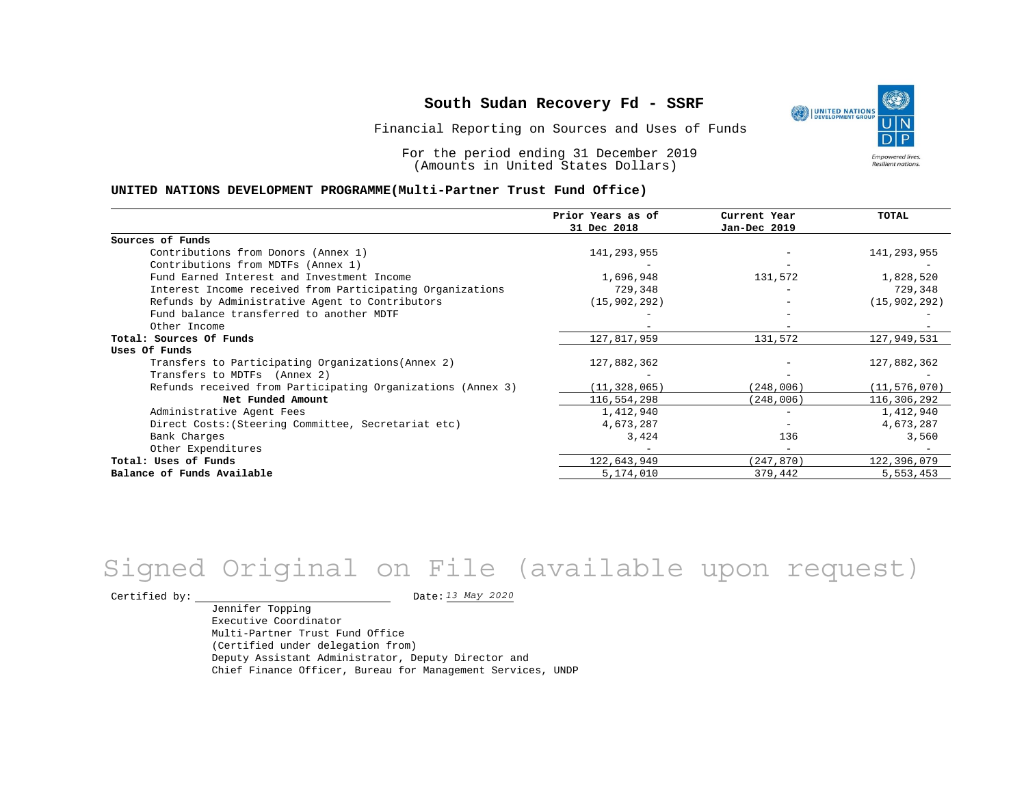Financial Reporting on Sources and Uses of Funds

For the period ending 31 December 2019 (Amounts in United States Dollars)

#### **UNITED NATIONS DEVELOPMENT PROGRAMME(Multi-Partner Trust Fund Office)**

|                                                             | Prior Years as of | Current Year             | <b>TOTAL</b>   |
|-------------------------------------------------------------|-------------------|--------------------------|----------------|
|                                                             | 31 Dec 2018       | Jan-Dec 2019             |                |
| Sources of Funds                                            |                   |                          |                |
| Contributions from Donors (Annex 1)                         | 141,293,955       |                          | 141,293,955    |
| Contributions from MDTFs (Annex 1)                          |                   |                          |                |
| Fund Earned Interest and Investment Income                  | 1,696,948         | 131,572                  | 1,828,520      |
| Interest Income received from Participating Organizations   | 729,348           |                          | 729,348        |
| Refunds by Administrative Agent to Contributors             | (15, 902, 292)    |                          | (15, 902, 292) |
| Fund balance transferred to another MDTF                    |                   |                          |                |
| Other Income                                                |                   |                          |                |
| Total: Sources Of Funds                                     | 127,817,959       | 131,572                  | 127,949,531    |
| Uses Of Funds                                               |                   |                          |                |
| Transfers to Participating Organizations (Annex 2)          | 127,882,362       |                          | 127,882,362    |
| Transfers to MDTFs (Annex 2)                                |                   |                          |                |
| Refunds received from Participating Organizations (Annex 3) | (11, 328, 065)    | (248,006)                | (11, 576, 070) |
| Net Funded Amount                                           | 116,554,298       | (248,006)                | 116,306,292    |
| Administrative Agent Fees                                   | 1,412,940         | $\overline{\phantom{0}}$ | 1,412,940      |
| Direct Costs: (Steering Committee, Secretariat etc)         | 4,673,287         |                          | 4,673,287      |
| Bank Charges                                                | 3,424             | 136                      | 3,560          |
| Other Expenditures                                          |                   |                          |                |
| Total: Uses of Funds                                        | 122,643,949       | (247,870)                | 122,396,079    |
| Balance of Funds Available                                  | 5,174,010         | 379,442                  | 5,553,453      |

# *13 May 2020* Signed Original on File (available upon request)

Certified by:  $\frac{13 May 2020}{1200}$ 

Jennifer Topping Executive Coordinator Multi-Partner Trust Fund Office (Certified under delegation from) Deputy Assistant Administrator, Deputy Director and Chief Finance Officer, Bureau for Management Services, UNDP

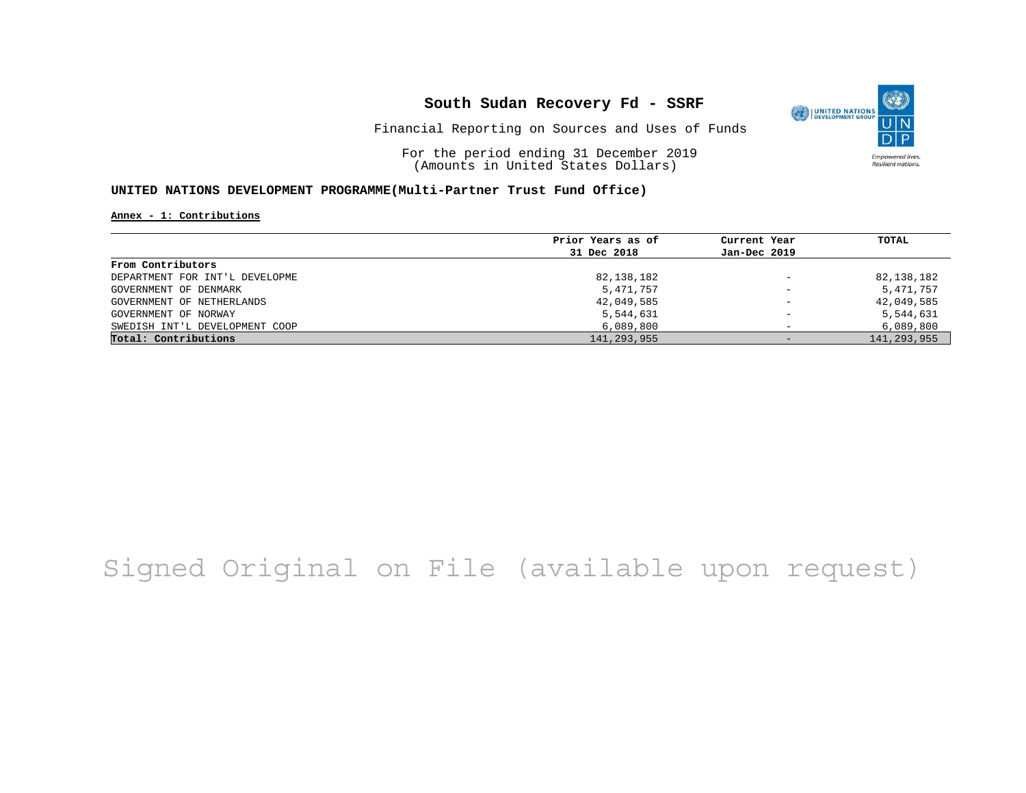

Financial Reporting on Sources and Uses of Funds

For the period ending 31 December 2019 (Amounts in United States Dollars)

### **UNITED NATIONS DEVELOPMENT PROGRAMME(Multi-Partner Trust Fund Office)**

**Annex - 1: Contributions**

|                                | Prior Years as of | Current Year             | TOTAL         |
|--------------------------------|-------------------|--------------------------|---------------|
|                                | 31 Dec 2018       | Jan-Dec 2019             |               |
| From Contributors              |                   |                          |               |
| DEPARTMENT FOR INT'L DEVELOPME | 82,138,182        | $\qquad \qquad -$        | 82,138,182    |
| GOVERNMENT OF DENMARK          | 5,471,757         | $\overline{\phantom{a}}$ | 5,471,757     |
| GOVERNMENT OF NETHERLANDS      | 42,049,585        | $\overline{\phantom{m}}$ | 42,049,585    |
| GOVERNMENT OF NORWAY           | 5,544,631         | $\overline{\phantom{0}}$ | 5,544,631     |
| SWEDISH INT'L DEVELOPMENT COOP | 6,089,800         |                          | 6,089,800     |
| Total: Contributions           | 141,293,955       | $-$                      | 141, 293, 955 |

# Signed Original on File (available upon request)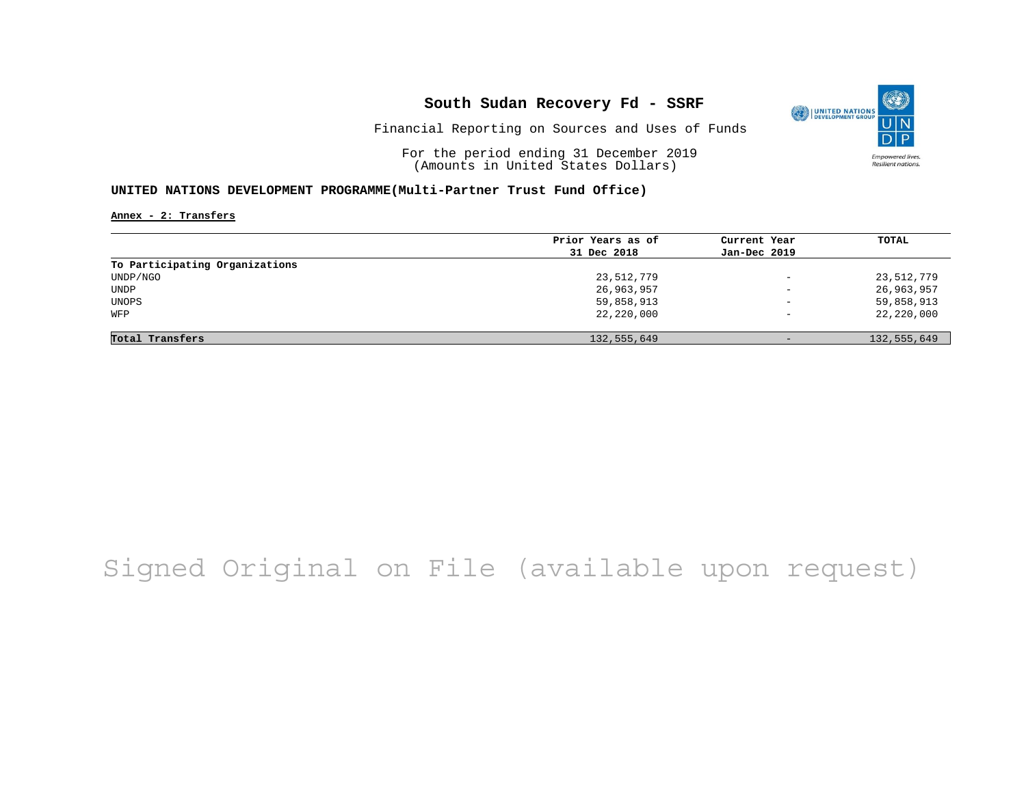

Financial Reporting on Sources and Uses of Funds

For the period ending 31 December 2019 (Amounts in United States Dollars)

### **UNITED NATIONS DEVELOPMENT PROGRAMME(Multi-Partner Trust Fund Office)**

**Annex - 2: Transfers**

|                                | Prior Years as of | Current Year             | TOTAL       |
|--------------------------------|-------------------|--------------------------|-------------|
|                                | 31 Dec 2018       | Jan-Dec 2019             |             |
| To Participating Organizations |                   |                          |             |
| UNDP/NGO                       | 23,512,779        | $\overline{\phantom{0}}$ | 23,512,779  |
| UNDP                           | 26,963,957        | $\overline{\phantom{0}}$ | 26,963,957  |
| UNOPS                          | 59,858,913        | $\overline{\phantom{m}}$ | 59,858,913  |
| WFP                            | 22,220,000        | $\overline{\phantom{0}}$ | 22,220,000  |
|                                |                   |                          |             |
| Total Transfers                | 132,555,649       | $-$                      | 132,555,649 |

# Signed Original on File (available upon request)